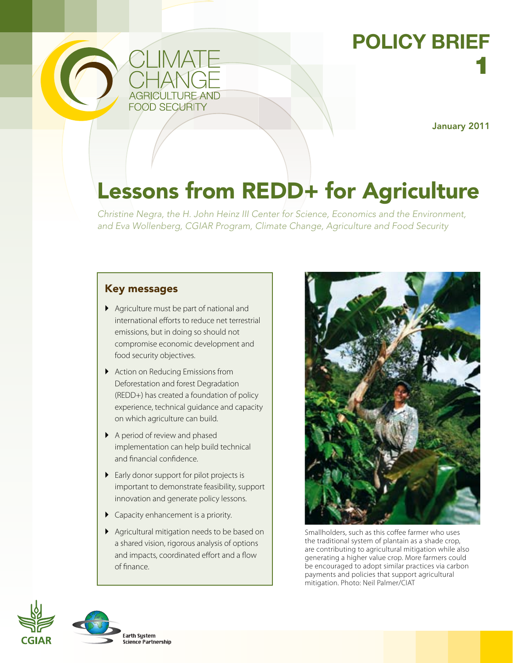

## **POLICY BRIEF** 1

January 2011

# Lessons from REDD+ for Agriculture

*Christine Negra, the H. John Heinz III Center for Science, Economics and the Environment, and Eva Wollenberg, CGIAR Program, Climate Change, Agriculture and Food Security*

## Key messages

- ` Agriculture must be part of national and international efforts to reduce net terrestrial emissions, but in doing so should not compromise economic development and food security objectives.
- $\blacktriangleright$  Action on Reducing Emissions from Deforestation and forest Degradation (REDD+) has created a foundation of policy experience, technical guidance and capacity on which agriculture can build.
- A period of review and phased implementation can help build technical and financial confidence.
- $\blacktriangleright$  Early donor support for pilot projects is important to demonstrate feasibility, support innovation and generate policy lessons.
- **Capacity enhancement is a priority.**
- ` Agricultural mitigation needs to be based on a shared vision, rigorous analysis of options and impacts, coordinated effort and a flow of finance.



Smallholders, such as this coffee farmer who uses the traditional system of plantain as a shade crop, are contributing to agricultural mitigation while also generating a higher value crop. More farmers could be encouraged to adopt similar practices via carbon payments and policies that support agricultural mitigation. Photo: Neil Palmer/CIAT



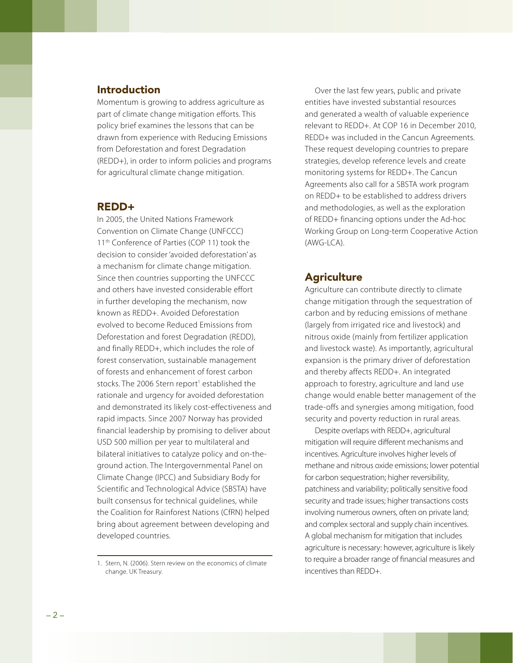#### **Introduction**

Momentum is growing to address agriculture as part of climate change mitigation efforts. This policy brief examines the lessons that can be drawn from experience with Reducing Emissions from Deforestation and forest Degradation (REDD+), in order to inform policies and programs for agricultural climate change mitigation.

#### REDD+

In 2005, the United Nations Framework Convention on Climate Change (UNFCCC) 11<sup>th</sup> Conference of Parties (COP 11) took the decision to consider 'avoided deforestation' as a mechanism for climate change mitigation. Since then countries supporting the UNFCCC and others have invested considerable effort in further developing the mechanism, now known as REDD+. Avoided Deforestation evolved to become Reduced Emissions from Deforestation and forest Degradation (REDD), and finally REDD+, which includes the role of forest conservation, sustainable management of forests and enhancement of forest carbon stocks. The 2006 Stern report<sup>1</sup> established the rationale and urgency for avoided deforestation and demonstrated its likely cost-effectiveness and rapid impacts. Since 2007 Norway has provided financial leadership by promising to deliver about USD 500 million per year to multilateral and bilateral initiatives to catalyze policy and on-theground action. The Intergovernmental Panel on Climate Change (IPCC) and Subsidiary Body for Scientific and Technological Advice (SBSTA) have built consensus for technical guidelines, while the Coalition for Rainforest Nations (CfRN) helped bring about agreement between developing and developed countries.

Over the last few years, public and private entities have invested substantial resources and generated a wealth of valuable experience relevant to REDD+. At COP 16 in December 2010, REDD+ was included in the Cancun Agreements. These request developing countries to prepare strategies, develop reference levels and create monitoring systems for REDD+. The Cancun Agreements also call for a SBSTA work program on REDD+ to be established to address drivers and methodologies, as well as the exploration of REDD+ financing options under the Ad-hoc Working Group on Long-term Cooperative Action (AWG-LCA).

### **Agriculture**

Agriculture can contribute directly to climate change mitigation through the sequestration of carbon and by reducing emissions of methane (largely from irrigated rice and livestock) and nitrous oxide (mainly from fertilizer application and livestock waste). As importantly, agricultural expansion is the primary driver of deforestation and thereby affects REDD+. An integrated approach to forestry, agriculture and land use change would enable better management of the trade-offs and synergies among mitigation, food security and poverty reduction in rural areas.

Despite overlaps with REDD+, agricultural mitigation will require different mechanisms and incentives. Agriculture involves higher levels of methane and nitrous oxide emissions; lower potential for carbon sequestration; higher reversibility, patchiness and variability; politically sensitive food security and trade issues; higher transactions costs involving numerous owners, often on private land; and complex sectoral and supply chain incentives. A global mechanism for mitigation that includes agriculture is necessary: however, agriculture is likely to require a broader range of financial measures and incentives than REDD+.

<sup>1.</sup> Stern, N. (2006). Stern review on the economics of climate change. UK Treasury.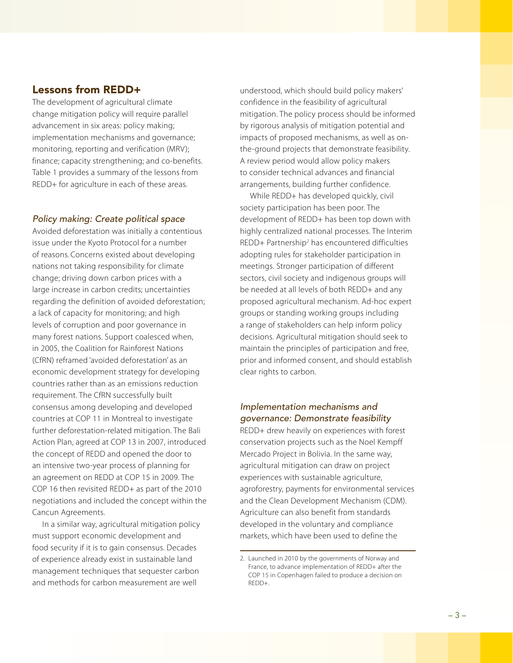#### Lessons from REDD+

The development of agricultural climate change mitigation policy will require parallel advancement in six areas: policy making; implementation mechanisms and governance; monitoring, reporting and verification (MRV); finance; capacity strengthening; and co-benefits. Table 1 provides a summary of the lessons from REDD+ for agriculture in each of these areas.

#### *Policy making: Create political space*

Avoided deforestation was initially a contentious issue under the Kyoto Protocol for a number of reasons. Concerns existed about developing nations not taking responsibility for climate change; driving down carbon prices with a large increase in carbon credits; uncertainties regarding the definition of avoided deforestation; a lack of capacity for monitoring; and high levels of corruption and poor governance in many forest nations. Support coalesced when, in 2005, the Coalition for Rainforest Nations (CfRN) reframed 'avoided deforestation' as an economic development strategy for developing countries rather than as an emissions reduction requirement. The CfRN successfully built consensus among developing and developed countries at COP 11 in Montreal to investigate further deforestation-related mitigation. The Bali Action Plan, agreed at COP 13 in 2007, introduced the concept of REDD and opened the door to an intensive two-year process of planning for an agreement on REDD at COP 15 in 2009. The COP 16 then revisited REDD+ as part of the 2010 negotiations and included the concept within the Cancun Agreements.

In a similar way, agricultural mitigation policy must support economic development and food security if it is to gain consensus. Decades of experience already exist in sustainable land management techniques that sequester carbon and methods for carbon measurement are well

understood, which should build policy makers' confidence in the feasibility of agricultural mitigation. The policy process should be informed by rigorous analysis of mitigation potential and impacts of proposed mechanisms, as well as onthe-ground projects that demonstrate feasibility. A review period would allow policy makers to consider technical advances and financial arrangements, building further confidence.

While REDD+ has developed quickly, civil society participation has been poor. The development of REDD+ has been top down with highly centralized national processes. The Interim REDD+ Partnership<sup>2</sup> has encountered difficulties adopting rules for stakeholder participation in meetings. Stronger participation of different sectors, civil society and indigenous groups will be needed at all levels of both REDD+ and any proposed agricultural mechanism. Ad-hoc expert groups or standing working groups including a range of stakeholders can help inform policy decisions. Agricultural mitigation should seek to maintain the principles of participation and free, prior and informed consent, and should establish clear rights to carbon.

#### *Implementation mechanisms and governance: Demonstrate feasibility*

REDD+ drew heavily on experiences with forest conservation projects such as the Noel Kempff Mercado Project in Bolivia. In the same way, agricultural mitigation can draw on project experiences with sustainable agriculture, agroforestry, payments for environmental services and the Clean Development Mechanism (CDM). Agriculture can also benefit from standards developed in the voluntary and compliance markets, which have been used to define the

<sup>2.</sup> Launched in 2010 by the governments of Norway and France, to advance implementation of REDD+ after the COP 15 in Copenhagen failed to produce a decision on REDD+.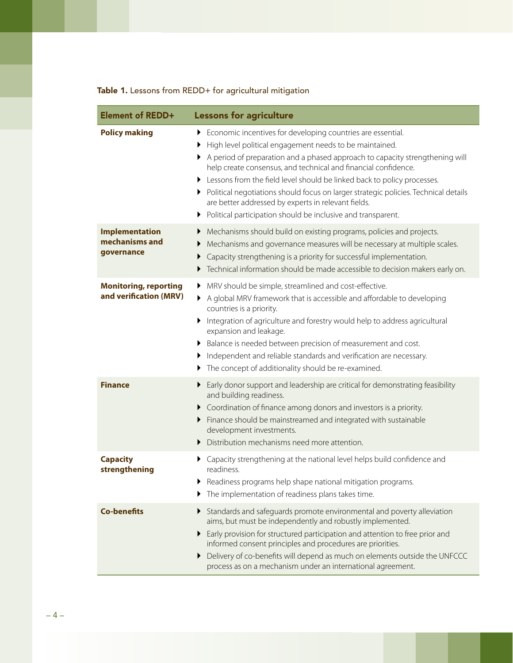## Table 1. Lessons from REDD+ for agricultural mitigation

| <b>Element of REDD+</b>                                | <b>Lessons for agriculture</b>                                                                                                                                                                                                                                                                                                                                                                                                                                                                                                                                                 |  |
|--------------------------------------------------------|--------------------------------------------------------------------------------------------------------------------------------------------------------------------------------------------------------------------------------------------------------------------------------------------------------------------------------------------------------------------------------------------------------------------------------------------------------------------------------------------------------------------------------------------------------------------------------|--|
| <b>Policy making</b>                                   | Economic incentives for developing countries are essential.<br>▶<br>High level political engagement needs to be maintained.<br>A period of preparation and a phased approach to capacity strengthening will<br>help create consensus, and technical and financial confidence.<br>Elessons from the field level should be linked back to policy processes.<br>• Political negotiations should focus on larger strategic policies. Technical details<br>are better addressed by experts in relevant fields.<br>Political participation should be inclusive and transparent.<br>▶ |  |
| <b>Implementation</b><br>mechanisms and<br>governance  | Mechanisms should build on existing programs, policies and projects.<br>▶<br>Mechanisms and governance measures will be necessary at multiple scales.<br>Capacity strengthening is a priority for successful implementation.<br>Technical information should be made accessible to decision makers early on.<br>▶                                                                                                                                                                                                                                                              |  |
| <b>Monitoring, reporting</b><br>and verification (MRV) | MRV should be simple, streamlined and cost-effective.<br>A global MRV framework that is accessible and affordable to developing<br>▶<br>countries is a priority.<br>Integration of agriculture and forestry would help to address agricultural<br>expansion and leakage.<br>Balance is needed between precision of measurement and cost.<br>Independent and reliable standards and verification are necessary.<br>The concept of additionality should be re-examined.                                                                                                          |  |
| <b>Finance</b>                                         | Early donor support and leadership are critical for demonstrating feasibility<br>and building readiness.<br>Coordination of finance among donors and investors is a priority.<br>▶<br>Finance should be mainstreamed and integrated with sustainable<br>development investments.<br>Distribution mechanisms need more attention.<br>▶                                                                                                                                                                                                                                          |  |
| <b>Capacity</b><br>strengthening                       | Capacity strengthening at the national level helps build confidence and<br>readiness.<br>Readiness programs help shape national mitigation programs.<br>The implementation of readiness plans takes time.                                                                                                                                                                                                                                                                                                                                                                      |  |
| <b>Co-benefits</b>                                     | Standards and safeguards promote environmental and poverty alleviation<br>aims, but must be independently and robustly implemented.<br>Early provision for structured participation and attention to free prior and<br>▶<br>informed consent principles and procedures are priorities.<br>Delivery of co-benefits will depend as much on elements outside the UNFCCC<br>process as on a mechanism under an international agreement.                                                                                                                                            |  |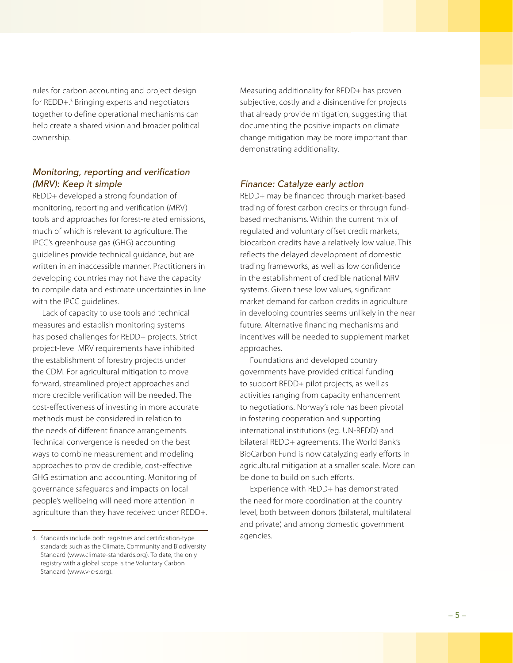rules for carbon accounting and project design for REDD+.<sup>3</sup> Bringing experts and negotiators together to define operational mechanisms can help create a shared vision and broader political ownership.

#### *Monitoring, reporting and verification (MRV): Keep it simple*

REDD+ developed a strong foundation of monitoring, reporting and verification (MRV) tools and approaches for forest-related emissions, much of which is relevant to agriculture. The IPCC's greenhouse gas (GHG) accounting guidelines provide technical guidance, but are written in an inaccessible manner. Practitioners in developing countries may not have the capacity to compile data and estimate uncertainties in line with the IPCC guidelines.

Lack of capacity to use tools and technical measures and establish monitoring systems has posed challenges for REDD+ projects. Strict project-level MRV requirements have inhibited the establishment of forestry projects under the CDM. For agricultural mitigation to move forward, streamlined project approaches and more credible verification will be needed. The cost-effectiveness of investing in more accurate methods must be considered in relation to the needs of different finance arrangements. Technical convergence is needed on the best ways to combine measurement and modeling approaches to provide credible, cost-effective GHG estimation and accounting. Monitoring of governance safeguards and impacts on local people's wellbeing will need more attention in agriculture than they have received under REDD+. Measuring additionality for REDD+ has proven subjective, costly and a disincentive for projects that already provide mitigation, suggesting that documenting the positive impacts on climate change mitigation may be more important than demonstrating additionality.

#### *Finance: Catalyze early action*

REDD+ may be financed through market-based trading of forest carbon credits or through fundbased mechanisms. Within the current mix of regulated and voluntary offset credit markets, biocarbon credits have a relatively low value. This reflects the delayed development of domestic trading frameworks, as well as low confidence in the establishment of credible national MRV systems. Given these low values, significant market demand for carbon credits in agriculture in developing countries seems unlikely in the near future. Alternative financing mechanisms and incentives will be needed to supplement market approaches.

Foundations and developed country governments have provided critical funding to support REDD+ pilot projects, as well as activities ranging from capacity enhancement to negotiations. Norway's role has been pivotal in fostering cooperation and supporting international institutions (eg. UN-REDD) and bilateral REDD+ agreements. The World Bank's BioCarbon Fund is now catalyzing early efforts in agricultural mitigation at a smaller scale. More can be done to build on such efforts.

Experience with REDD+ has demonstrated the need for more coordination at the country level, both between donors (bilateral, multilateral and private) and among domestic government agencies.

<sup>3.</sup> Standards include both registries and certification-type standards such as the Climate, Community and Biodiversity Standard (www.climate-standards.org). To date, the only registry with a global scope is the Voluntary Carbon Standard (www.v-c-s.org).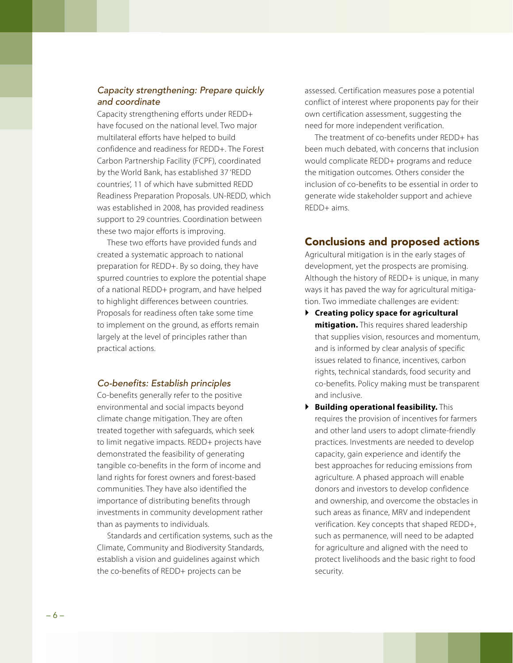#### *Capacity strengthening: Prepare quickly and coordinate*

Capacity strengthening efforts under REDD+ have focused on the national level. Two major multilateral efforts have helped to build confidence and readiness for REDD+. The Forest Carbon Partnership Facility (FCPF), coordinated by the World Bank, has established 37 'REDD countries', 11 of which have submitted REDD Readiness Preparation Proposals. UN-REDD, which was established in 2008, has provided readiness support to 29 countries. Coordination between these two major efforts is improving.

These two efforts have provided funds and created a systematic approach to national preparation for REDD+. By so doing, they have spurred countries to explore the potential shape of a national REDD+ program, and have helped to highlight differences between countries. Proposals for readiness often take some time to implement on the ground, as efforts remain largely at the level of principles rather than practical actions.

#### *Co-benefits: Establish principles*

Co-benefits generally refer to the positive environmental and social impacts beyond climate change mitigation. They are often treated together with safeguards, which seek to limit negative impacts. REDD+ projects have demonstrated the feasibility of generating tangible co-benefits in the form of income and land rights for forest owners and forest-based communities. They have also identified the importance of distributing benefits through investments in community development rather than as payments to individuals.

Standards and certification systems, such as the Climate, Community and Biodiversity Standards, establish a vision and guidelines against which the co-benefits of REDD+ projects can be

assessed. Certification measures pose a potential conflict of interest where proponents pay for their own certification assessment, suggesting the need for more independent verification.

The treatment of co-benefits under REDD+ has been much debated, with concerns that inclusion would complicate REDD+ programs and reduce the mitigation outcomes. Others consider the inclusion of co-benefits to be essential in order to generate wide stakeholder support and achieve REDD+ aims.

#### Conclusions and proposed actions

Agricultural mitigation is in the early stages of development, yet the prospects are promising. Although the history of REDD+ is unique, in many ways it has paved the way for agricultural mitigation. Two immediate challenges are evident:

- ` **Creating policy space for agricultural mitigation.** This requires shared leadership that supplies vision, resources and momentum, and is informed by clear analysis of specific issues related to finance, incentives, carbon rights, technical standards, food security and co-benefits. Policy making must be transparent and inclusive.
- ` **Building operational feasibility.** This requires the provision of incentives for farmers and other land users to adopt climate-friendly practices. Investments are needed to develop capacity, gain experience and identify the best approaches for reducing emissions from agriculture. A phased approach will enable donors and investors to develop confidence and ownership, and overcome the obstacles in such areas as finance, MRV and independent verification. Key concepts that shaped REDD+, such as permanence, will need to be adapted for agriculture and aligned with the need to protect livelihoods and the basic right to food security.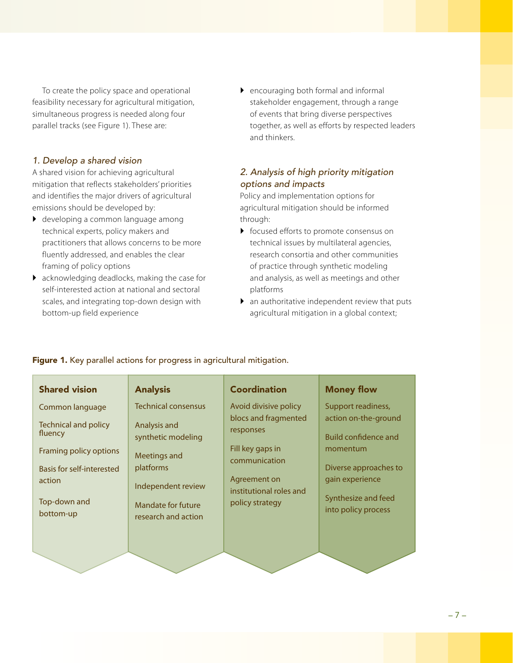To create the policy space and operational feasibility necessary for agricultural mitigation, simultaneous progress is needed along four parallel tracks (see Figure 1). These are:

#### *1. Develop a shared vision*

A shared vision for achieving agricultural mitigation that reflects stakeholders' priorities and identifies the major drivers of agricultural emissions should be developed by:

- **•** developing a common language among technical experts, policy makers and practitioners that allows concerns to be more fluently addressed, and enables the clear framing of policy options
- $\blacktriangleright$  acknowledging deadlocks, making the case for self-interested action at national and sectoral scales, and integrating top-down design with bottom-up field experience

 $\blacktriangleright$  encouraging both formal and informal stakeholder engagement, through a range of events that bring diverse perspectives together, as well as efforts by respected leaders and thinkers.

## *2. Analysis of high priority mitigation options and impacts*

Policy and implementation options for agricultural mitigation should be informed through:

- $\triangleright$  focused efforts to promote consensus on technical issues by multilateral agencies, research consortia and other communities of practice through synthetic modeling and analysis, as well as meetings and other platforms
- $\triangleright$  an authoritative independent review that puts agricultural mitigation in a global context;

| <b>Shared vision</b>                   | <b>Analysis</b>                                  | <b>Coordination</b>                     | <b>Money flow</b>                                   |
|----------------------------------------|--------------------------------------------------|-----------------------------------------|-----------------------------------------------------|
| Common language                        | <b>Technical consensus</b>                       | Avoid divisive policy                   | Support readiness,                                  |
| <b>Technical and policy</b><br>fluency | Analysis and<br>synthetic modeling               | blocs and fragmented<br>responses       | action on-the-ground<br><b>Build confidence and</b> |
| Framing policy options                 | Meetings and                                     | Fill key gaps in<br>communication       | momentum                                            |
| Basis for self-interested              | platforms                                        |                                         | Diverse approaches to                               |
| action                                 | Independent review                               | Agreement on<br>institutional roles and | gain experience                                     |
| Top-down and<br>bottom-up              | <b>Mandate for future</b><br>research and action | policy strategy                         | Synthesize and feed<br>into policy process          |
|                                        |                                                  |                                         |                                                     |
|                                        |                                                  |                                         |                                                     |

#### Figure 1. Key parallel actions for progress in agricultural mitigation.